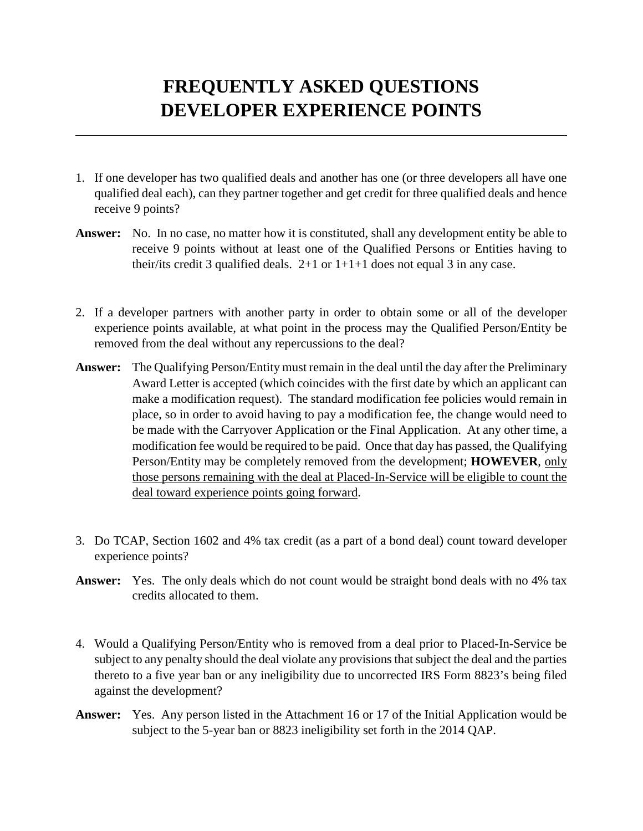## **FREQUENTLY ASKED QUESTIONS DEVELOPER EXPERIENCE POINTS**

- 1. If one developer has two qualified deals and another has one (or three developers all have one qualified deal each), can they partner together and get credit for three qualified deals and hence receive 9 points?
- **Answer:** No. In no case, no matter how it is constituted, shall any development entity be able to receive 9 points without at least one of the Qualified Persons or Entities having to their/its credit 3 qualified deals.  $2+1$  or  $1+1+1$  does not equal 3 in any case.
- 2. If a developer partners with another party in order to obtain some or all of the developer experience points available, at what point in the process may the Qualified Person/Entity be removed from the deal without any repercussions to the deal?
- **Answer:** The Qualifying Person/Entity must remain in the deal until the day after the Preliminary Award Letter is accepted (which coincides with the first date by which an applicant can make a modification request). The standard modification fee policies would remain in place, so in order to avoid having to pay a modification fee, the change would need to be made with the Carryover Application or the Final Application. At any other time, a modification fee would be required to be paid. Once that day has passed, the Qualifying Person/Entity may be completely removed from the development; **HOWEVER**, only those persons remaining with the deal at Placed-In-Service will be eligible to count the deal toward experience points going forward.
- 3. Do TCAP, Section 1602 and 4% tax credit (as a part of a bond deal) count toward developer experience points?
- **Answer:** Yes. The only deals which do not count would be straight bond deals with no 4% tax credits allocated to them.
- 4. Would a Qualifying Person/Entity who is removed from a deal prior to Placed-In-Service be subject to any penalty should the deal violate any provisions that subject the deal and the parties thereto to a five year ban or any ineligibility due to uncorrected IRS Form 8823's being filed against the development?
- **Answer:** Yes. Any person listed in the Attachment 16 or 17 of the Initial Application would be subject to the 5-year ban or 8823 ineligibility set forth in the 2014 QAP.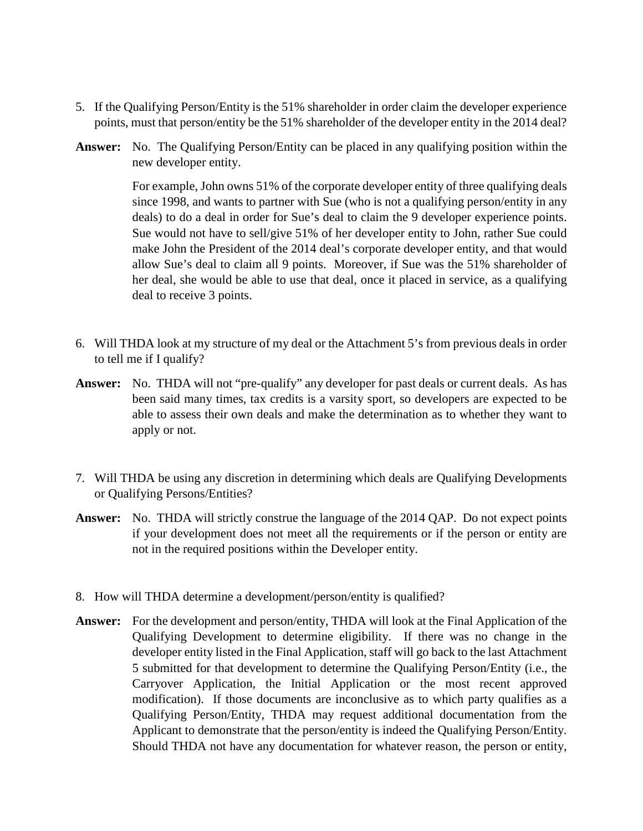- 5. If the Qualifying Person/Entity is the 51% shareholder in order claim the developer experience points, must that person/entity be the 51% shareholder of the developer entity in the 2014 deal?
- **Answer:** No. The Qualifying Person/Entity can be placed in any qualifying position within the new developer entity.

For example, John owns 51% of the corporate developer entity of three qualifying deals since 1998, and wants to partner with Sue (who is not a qualifying person/entity in any deals) to do a deal in order for Sue's deal to claim the 9 developer experience points. Sue would not have to sell/give 51% of her developer entity to John, rather Sue could make John the President of the 2014 deal's corporate developer entity, and that would allow Sue's deal to claim all 9 points. Moreover, if Sue was the 51% shareholder of her deal, she would be able to use that deal, once it placed in service, as a qualifying deal to receive 3 points.

- 6. Will THDA look at my structure of my deal or the Attachment 5's from previous deals in order to tell me if I qualify?
- **Answer:** No. THDA will not "pre-qualify" any developer for past deals or current deals. As has been said many times, tax credits is a varsity sport, so developers are expected to be able to assess their own deals and make the determination as to whether they want to apply or not.
- 7. Will THDA be using any discretion in determining which deals are Qualifying Developments or Qualifying Persons/Entities?
- **Answer:** No. THDA will strictly construe the language of the 2014 QAP. Do not expect points if your development does not meet all the requirements or if the person or entity are not in the required positions within the Developer entity.
- 8. How will THDA determine a development/person/entity is qualified?
- **Answer:** For the development and person/entity, THDA will look at the Final Application of the Qualifying Development to determine eligibility. If there was no change in the developer entity listed in the Final Application, staff will go back to the last Attachment 5 submitted for that development to determine the Qualifying Person/Entity (i.e., the Carryover Application, the Initial Application or the most recent approved modification). If those documents are inconclusive as to which party qualifies as a Qualifying Person/Entity, THDA may request additional documentation from the Applicant to demonstrate that the person/entity is indeed the Qualifying Person/Entity. Should THDA not have any documentation for whatever reason, the person or entity,